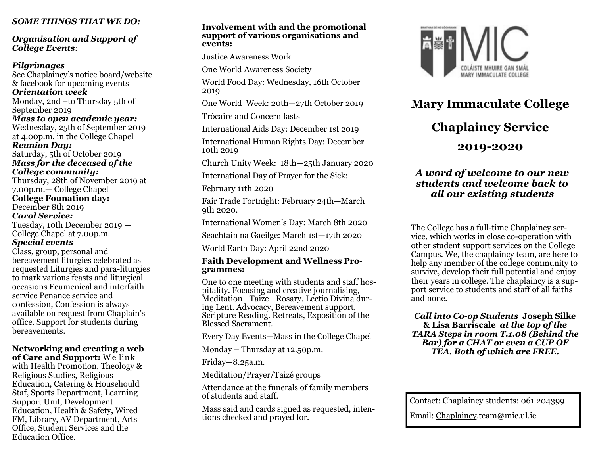### *SOME THINGS THAT WE DO:*

*Organisation and Support of College Events:*

#### *Pilgrimages*

See Chaplaincy's notice board/website & facebook for upcoming events *Orientation week*  Monday, 2nd –to Thursday 5th of September 2019 *Mass to open academic year:* Wednesday, 25th of September 2019 at 4.00p.m. in the College Chapel *Reunion Day:* Saturday, 5th of October 2019 *Mass for the deceased of the College community:* Thursday, 28th of November 2019 at 7.00p.m.— College Chapel **College Founation day:** December 8th 2019 *Carol Service:* Tuesday, 10th December 2019 — College Chapel at 7.00p.m. *Special events* Class, group, personal and bereavement liturgies celebrated as requested Liturgies and para-liturgies to mark various feasts and liturgical occasions Ecumenical and interfaith service Penance service and confession, Confession is always available on request from Chaplain's office. Support for students during

#### **Networking and creating a web of Care and Support:** W e link

bereavements.

with Health Promotion, Theology & Religious Studies, Religious Education, Catering & Househould Staf, Sports Department, Learning Support Unit, Development Education, Health & Safety, Wired FM, Library, AV Department, Arts Office, Student Services and the Education Office.

#### **Involvement with and the promotional support of various organisations and events:**

Justice Awareness Work

One World Awareness Society

World Food Day: Wednesday, 16th October 2019

One World Week: 20th—27th October 2019

Trócaire and Concern fasts

International Aids Day: December 1st 2019

International Human Rights Day: December 10th 2019

Church Unity Week: 18th—25th January 2020

International Day of Prayer for the Sick:

February 11th 2020

Fair Trade Fortnight: February 24th—March 9th 2020.

International Women's Day: March 8th 2020

Seachtain na Gaeilge: March 1st—17th 2020

World Earth Day: April 22nd 2020

#### **Faith Development and Wellness Programmes:**

One to one meeting with students and staff hospitality. Focusing and creative journalising, Meditation—Taize—Rosary. Lectio Divina during Lent. Advocacy, Bereavement support, Scripture Reading. Retreats, Exposition of the Blessed Sacrament.

Every Day Events—Mass in the College Chapel

Monday – Thursday at 12.50p.m.

Friday—8.25a.m.

Meditation/Prayer/Taizé groups

Attendance at the funerals of family members of students and staff.

Mass said and cards signed as requested, intentions checked and prayed for.



**Mary Immaculate College**

# **Chaplaincy Service**

# **2019-2020**

# *A word of welcome to our new students and welcome back to all our existing students*

The College has a full-time Chaplaincy service, which works in close co-operation with other student support services on the College Campus. We, the chaplaincy team, are here to help any member of the college community to survive, develop their full potential and enjoy their years in college. The chaplaincy is a support service to students and staff of all faiths and none.

*Call into Co-op Students* **Joseph Silke & Lisa Barriscale** *at the top of the TARA Steps in room T.1.08 (Behind the Bar) for a CHAT or even a CUP OF TEA. Both of which are FREE.*

Contact: Chaplaincy students: 061 204399

Email: Chaplaincy.team@mic.ul.ie